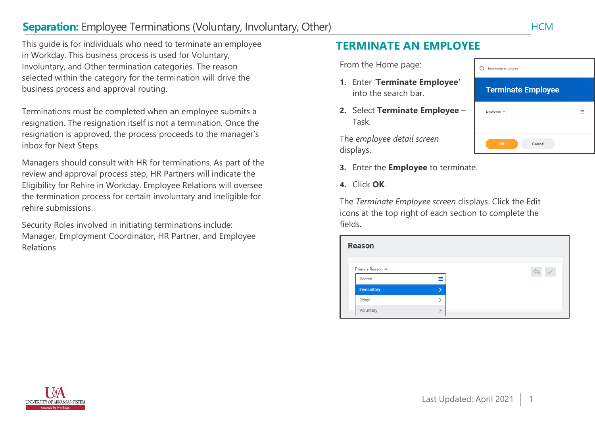# **Separation:** Employee Terminations (Voluntary, Involuntary, Other) Manuscriptions of the HCM

This guide is for individuals who need to terminate an employee in Workday. This business process is used for Voluntary, Involuntary, and Other termination categories. The reason selected within the category for the termination will drive the business process and approval routing.

Terminations must be completed when an employee submits a resignation. The resignation itself is not a termination. Once the resignation is approved, the process proceeds to the manager's inbox for Next Steps.

Managers should consult with HR for terminations. As part of the review and approval process step, HR Partners will indicate the Eligibility for Rehire in Workday. Employee Relations will oversee the termination process for certain involuntary and ineligible for rehire submissions.

Security Roles involved in initiating terminations include: Manager, Employment Coordinator, HR Partner, and Employee Relations

## **TERMINATE AN EMPLOYEE**

From the Home page:

- **1.** Enter '**Terminate Employee'** into the search bar.
- **2.** Select **Terminate Employee** Task.

The *employee detail screen*  displays.

- **3.** Enter the **Employee** to terminate.
- **4.** Click **OK**.

The *Terminate Employee screen* displays. Click the Edit icons at the top right of each section to complete the fields.

| <b>Reason</b>              |                      |  |
|----------------------------|----------------------|--|
| Primary Reason *<br>Search | ._<br>$\overline{a}$ |  |
| <b>Involuntary</b>         |                      |  |
| Other                      |                      |  |
| Voluntary                  |                      |  |

| terminate employee        |                          |  |
|---------------------------|--------------------------|--|
| <b>Terminate Employee</b> |                          |  |
| Employee *                | $\overline{\phantom{a}}$ |  |
| Cancel<br>OK              |                          |  |

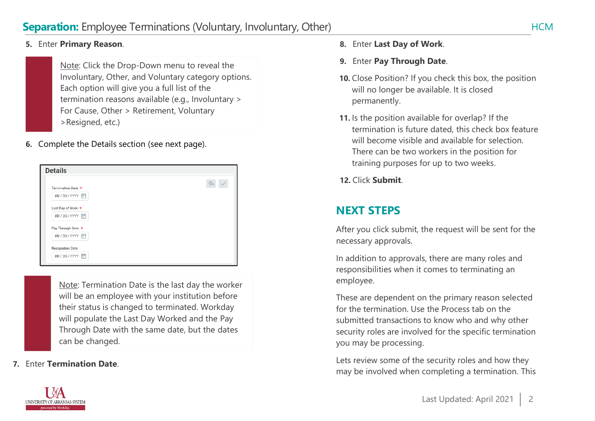#### **5.** Enter **Primary Reason**.

Note: Click the Drop-Down menu to reveal the Involuntary, Other, and Voluntary category options. Each option will give you a full list of the termination reasons available (e.g., Involuntary > For Cause, Other > Retirement, Voluntary >Resigned, etc.)

**6.** Complete the Details section (see next page).

| <b>Details</b>          |  |
|-------------------------|--|
| Termination Date *      |  |
| MM/DD/YYYY 向            |  |
| Last Day of Work *      |  |
| MM/DD/YYYY              |  |
| Pay Through Date *      |  |
| MM/DD/YYYY 向            |  |
| <b>Resignation Date</b> |  |
| MM/DD/YYYY 向            |  |

Note: Termination Date is the last day the worker will be an employee with your institution before their status is changed to terminated. Workday will populate the Last Day Worked and the Pay Through Date with the same date, but the dates can be changed.

**7.** Enter **Termination Date**.

- **8.** Enter **Last Day of Work**.
- **9.** Enter **Pay Through Date**.
- **10.** Close Position? If you check this box, the position will no longer be available. It is closed permanently.
- **11.** Is the position available for overlap? If the termination is future dated, this check box feature will become visible and available for selection. There can be two workers in the position for training purposes for up to two weeks.
- **12.** Click **Submit**.

## **NEXT STEPS**

After you click submit, the request will be sent for the necessary approvals.

In addition to approvals, there are many roles and responsibilities when it comes to terminating an employee.

These are dependent on the primary reason selected for the termination. Use the Process tab on the submitted transactions to know who and why other security roles are involved for the specific termination you may be processing.

Lets review some of the security roles and how they may be involved when completing a termination. This

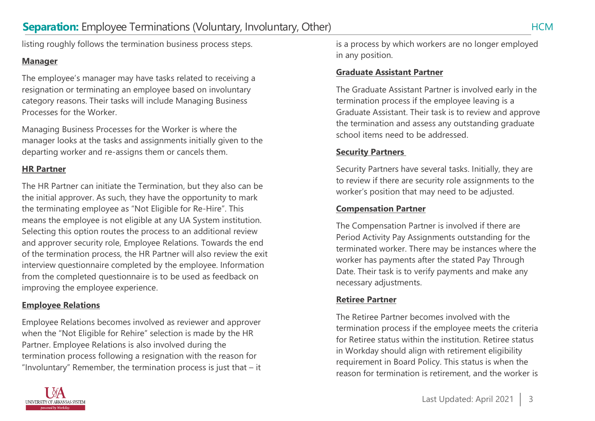listing roughly follows the termination business process steps.

#### **Manager**

The employee's manager may have tasks related to receiving a resignation or terminating an employee based on involuntary category reasons. Their tasks will include Managing Business Processes for the Worker.

Managing Business Processes for the Worker is where the manager looks at the tasks and assignments initially given to the departing worker and re-assigns them or cancels them.

#### **HR Partner**

The HR Partner can initiate the Termination, but they also can be the initial approver. As such, they have the opportunity to mark the terminating employee as "Not Eligible for Re-Hire". This means the employee is not eligible at any UA System institution. Selecting this option routes the process to an additional review and approver security role, Employee Relations. Towards the end of the termination process, the HR Partner will also review the exit interview questionnaire completed by the employee. Information from the completed questionnaire is to be used as feedback on improving the employee experience.

## **Employee Relations**

Employee Relations becomes involved as reviewer and approver when the "Not Eligible for Rehire" selection is made by the HR termination process following a resignation with the reason for "Involuntary" Remember, the termination process is just that  $-$  it



#### **Graduate Assistant Partner**

The Graduate Assistant Partner is involved early in the termination process if the employee leaving is a Graduate Assistant. Their task is to review and approve the termination and assess any outstanding graduate school items need to be addressed.

### **Security Partners**

Security Partners have several tasks. Initially, they are to review if there are security role assignments to the worker's position that may need to be adjusted.

### **Compensation Partner**

The Compensation Partner is involved if there are Period Activity Pay Assignments outstanding for the terminated worker. There may be instances where the worker has payments after the stated Pay Through Date. Their task is to verify payments and make any necessary adjustments.

## **Retiree Partner**

The Retiree Partner becomes involved with the termination process if the employee meets the criteria for Retiree status within the institution. Retiree status in Workday should align with retirement eligibility requirement in Board Policy. This status is when the reason for termination is retirement, and the worker is

Partner. Employee Relations is also involved during the